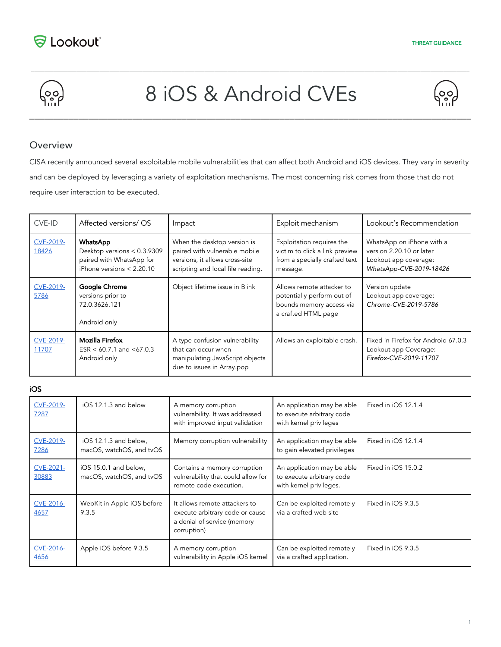



# 8 iOS & Android CVEs

\_\_\_\_\_\_\_\_\_\_\_\_\_\_\_\_\_\_\_\_\_\_\_\_\_\_\_\_\_\_\_\_\_\_\_\_\_\_\_\_\_\_\_\_\_\_\_\_\_\_\_\_\_\_\_\_\_\_\_\_\_\_\_\_\_\_\_\_\_\_\_\_\_\_\_\_\_\_\_\_\_\_\_\_\_\_\_\_\_\_\_\_\_\_\_\_\_\_\_\_\_\_\_\_\_\_\_\_\_\_\_\_\_\_\_\_\_\_\_\_\_\_\_\_\_\_\_\_\_\_\_\_\_\_



#### **Overview**

CISA recently announced several exploitable mobile vulnerabilities that can affect both Android and iOS devices. They vary in severity and can be deployed by leveraging a variety of exploitation mechanisms. The most concerning risk comes from those that do not require user interaction to be executed.

| CVE-ID                    | Affected versions/ OS                                                                                     | Impact                                                                                                                              | Exploit mechanism                                                                                          | Lookout's Recommendation                                                                                  |
|---------------------------|-----------------------------------------------------------------------------------------------------------|-------------------------------------------------------------------------------------------------------------------------------------|------------------------------------------------------------------------------------------------------------|-----------------------------------------------------------------------------------------------------------|
| <b>CVE-2019-</b><br>18426 | <b>WhatsApp</b><br>Desktop versions < 0.3.9309<br>paired with WhatsApp for<br>iPhone versions $< 2.20.10$ | When the desktop version is<br>paired with vulnerable mobile<br>versions, it allows cross-site<br>scripting and local file reading. | Exploitation requires the<br>victim to click a link preview<br>from a specially crafted text<br>message.   | WhatsApp on iPhone with a<br>version 2.20.10 or later<br>Lookout app coverage:<br>WhatsApp-CVE-2019-18426 |
| <b>CVE-2019-</b><br>5786  | Google Chrome<br>versions prior to<br>72.0.3626.121<br>Android only                                       | Object lifetime issue in Blink                                                                                                      | Allows remote attacker to<br>potentially perform out of<br>bounds memory access via<br>a crafted HTML page | Version update<br>Lookout app coverage:<br>Chrome-CVE-2019-5786                                           |
| <b>CVE-2019-</b><br>11707 | <b>Mozilla Firefox</b><br>$ESR < 60.7.1$ and $< 67.0.3$<br>Android only                                   | A type confusion vulnerability<br>that can occur when<br>manipulating JavaScript objects<br>due to issues in Array.pop              | Allows an exploitable crash.                                                                               | Fixed in Firefox for Android 67.0.3<br>Lookout app Coverage:<br>Firefox-CVE-2019-11707                    |

iOS

| CVE-2019-<br>7287        | iOS 12.1.3 and below                              | A memory corruption<br>vulnerability. It was addressed<br>with improved input validation                       | An application may be able<br>to execute arbitrary code<br>with kernel privileges  | Fixed in iOS 12.1.4 |
|--------------------------|---------------------------------------------------|----------------------------------------------------------------------------------------------------------------|------------------------------------------------------------------------------------|---------------------|
| <b>CVE-2019-</b><br>7286 | iOS 12.1.3 and below,<br>macOS, watchOS, and tvOS | Memory corruption vulnerability                                                                                | An application may be able<br>to gain elevated privileges                          | Fixed in iOS 12.1.4 |
| CVE-2021-<br>30883       | iOS 15.0.1 and below,<br>macOS, watchOS, and tvOS | Contains a memory corruption<br>vulnerability that could allow for<br>remote code execution.                   | An application may be able<br>to execute arbitrary code<br>with kernel privileges. | Fixed in iOS 15.0.2 |
| CVE-2016-<br>4657        | WebKit in Apple iOS before<br>9.3.5               | It allows remote attackers to<br>execute arbitrary code or cause<br>a denial of service (memory<br>corruption) | Can be exploited remotely<br>via a crafted web site                                | Fixed in iOS 9.3.5  |
| CVE-2016-<br>4656        | Apple iOS before 9.3.5                            | A memory corruption<br>vulnerability in Apple iOS kernel                                                       | Can be exploited remotely<br>via a crafted application.                            | Fixed in iOS 9.3.5  |